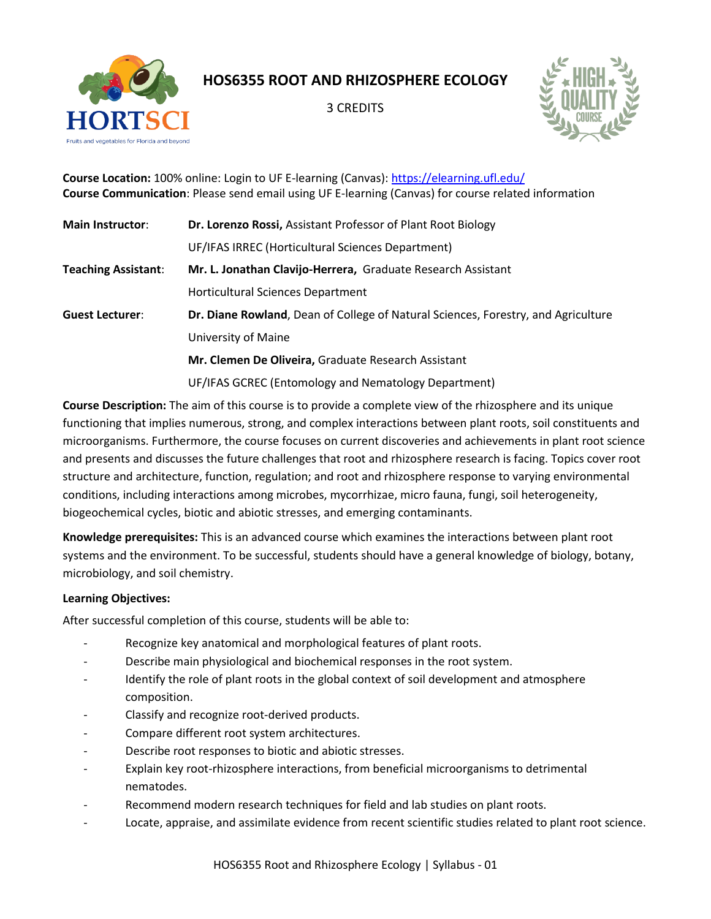

**HOS6355 ROOT AND RHIZOSPHERE ECOLOGY**

3 CREDITS



**Course Location:** 100% online: Login to UF E-learning (Canvas):<https://elearning.ufl.edu/> **Course Communication**: Please send email using UF E-learning (Canvas) for course related information

| <b>Main Instructor:</b>    | Dr. Lorenzo Rossi, Assistant Professor of Plant Root Biology                      |  |  |
|----------------------------|-----------------------------------------------------------------------------------|--|--|
|                            | UF/IFAS IRREC (Horticultural Sciences Department)                                 |  |  |
| <b>Teaching Assistant:</b> | Mr. L. Jonathan Clavijo-Herrera, Graduate Research Assistant                      |  |  |
|                            | Horticultural Sciences Department                                                 |  |  |
| <b>Guest Lecturer:</b>     | Dr. Diane Rowland, Dean of College of Natural Sciences, Forestry, and Agriculture |  |  |
|                            | University of Maine                                                               |  |  |
|                            | Mr. Clemen De Oliveira, Graduate Research Assistant                               |  |  |
|                            | UF/IFAS GCREC (Entomology and Nematology Department)                              |  |  |

**Course Description:** The aim of this course is to provide a complete view of the rhizosphere and its unique functioning that implies numerous, strong, and complex interactions between plant roots, soil constituents and microorganisms. Furthermore, the course focuses on current discoveries and achievements in plant root science and presents and discusses the future challenges that root and rhizosphere research is facing. Topics cover root structure and architecture, function, regulation; and root and rhizosphere response to varying environmental conditions, including interactions among microbes, mycorrhizae, micro fauna, fungi, soil heterogeneity, biogeochemical cycles, biotic and abiotic stresses, and emerging contaminants.

**Knowledge prerequisites:** This is an advanced course which examines the interactions between plant root systems and the environment. To be successful, students should have a general knowledge of biology, botany, microbiology, and soil chemistry.

# **Learning Objectives:**

After successful completion of this course, students will be able to:

- Recognize key anatomical and morphological features of plant roots.
- Describe main physiological and biochemical responses in the root system.
- Identify the role of plant roots in the global context of soil development and atmosphere composition.
- Classify and recognize root-derived products.
- Compare different root system architectures.
- Describe root responses to biotic and abiotic stresses.
- Explain key root-rhizosphere interactions, from beneficial microorganisms to detrimental nematodes.
- Recommend modern research techniques for field and lab studies on plant roots.
- Locate, appraise, and assimilate evidence from recent scientific studies related to plant root science.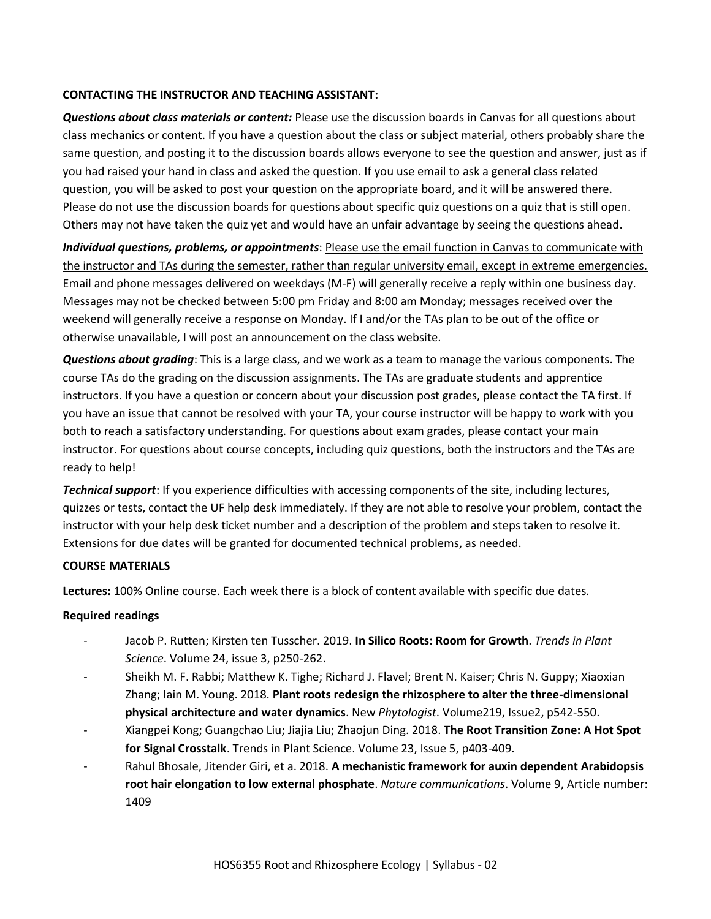# **CONTACTING THE INSTRUCTOR AND TEACHING ASSISTANT:**

*Questions about class materials or content:* Please use the discussion boards in Canvas for all questions about class mechanics or content. If you have a question about the class or subject material, others probably share the same question, and posting it to the discussion boards allows everyone to see the question and answer, just as if you had raised your hand in class and asked the question. If you use email to ask a general class related question, you will be asked to post your question on the appropriate board, and it will be answered there. Please do not use the discussion boards for questions about specific quiz questions on a quiz that is still open. Others may not have taken the quiz yet and would have an unfair advantage by seeing the questions ahead.

*Individual questions, problems, or appointments*: Please use the email function in Canvas to communicate with the instructor and TAs during the semester, rather than regular university email, except in extreme emergencies. Email and phone messages delivered on weekdays (M-F) will generally receive a reply within one business day. Messages may not be checked between 5:00 pm Friday and 8:00 am Monday; messages received over the weekend will generally receive a response on Monday. If I and/or the TAs plan to be out of the office or otherwise unavailable, I will post an announcement on the class website.

*Questions about grading*: This is a large class, and we work as a team to manage the various components. The course TAs do the grading on the discussion assignments. The TAs are graduate students and apprentice instructors. If you have a question or concern about your discussion post grades, please contact the TA first. If you have an issue that cannot be resolved with your TA, your course instructor will be happy to work with you both to reach a satisfactory understanding. For questions about exam grades, please contact your main instructor. For questions about course concepts, including quiz questions, both the instructors and the TAs are ready to help!

*Technical support*: If you experience difficulties with accessing components of the site, including lectures, quizzes or tests, contact the UF help desk immediately. If they are not able to resolve your problem, contact the instructor with your help desk ticket number and a description of the problem and steps taken to resolve it. Extensions for due dates will be granted for documented technical problems, as needed.

#### **COURSE MATERIALS**

**Lectures:** 100% Online course. Each week there is a block of content available with specific due dates.

#### **Required readings**

- Jacob P. Rutten; Kirsten ten Tusscher. 2019. **In Silico Roots: Room for Growth**. *Trends in Plant Science*. Volume 24, issue 3, p250-262.
- Sheikh M. F. Rabbi; Matthew K. Tighe; Richard J. Flavel; Brent N. Kaiser; Chris N. Guppy; Xiaoxian Zhang; Iain M. Young. 2018. **Plant roots redesign the rhizosphere to alter the three-dimensional physical architecture and water dynamics**. New *Phytologist*. Volume219, Issue2, p542-550.
- Xiangpei Kong; Guangchao Liu; Jiajia Liu; Zhaojun Ding. 2018. **The Root Transition Zone: A Hot Spot for Signal Crosstalk**. Trends in Plant Science. Volume 23, Issue 5, p403-409.
- Rahul Bhosale, Jitender Giri, et a. 2018. **A mechanistic framework for auxin dependent Arabidopsis root hair elongation to low external phosphate**. *Nature communications*. Volume 9, Article number: 1409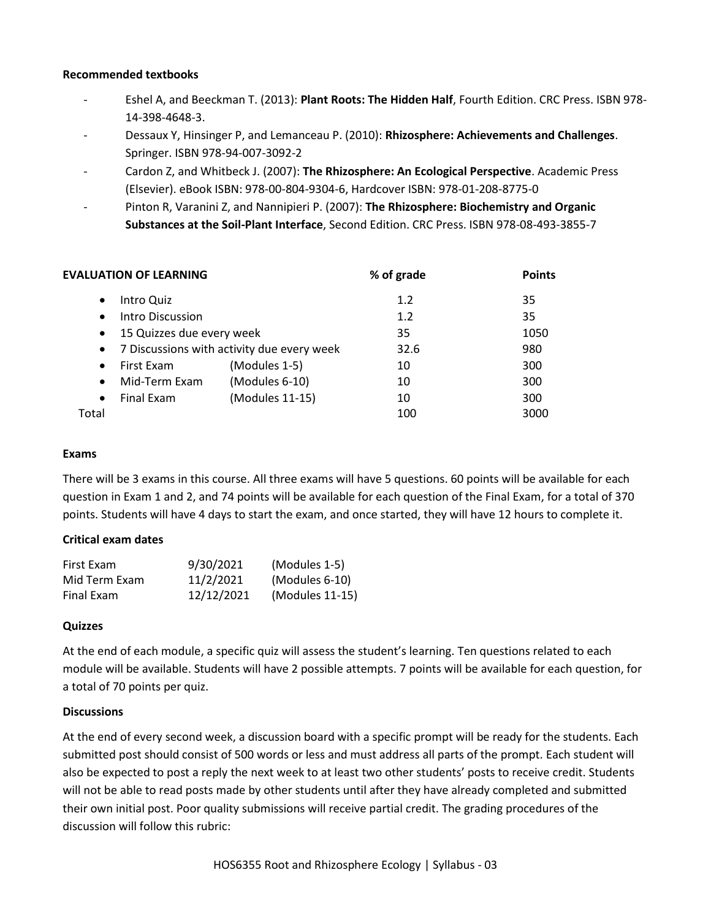## **Recommended textbooks**

- Eshel A, and Beeckman T. (2013): **Plant Roots: The Hidden Half**, Fourth Edition. CRC Press. ISBN 978- 14-398-4648-3.
- Dessaux Y, Hinsinger P, and Lemanceau P. (2010): **Rhizosphere: Achievements and Challenges**. Springer. ISBN 978-94-007-3092-2
- Cardon Z, and Whitbeck J. (2007): **The Rhizosphere: An Ecological Perspective**. Academic Press (Elsevier). eBook ISBN: 978-00-804-9304-6, Hardcover ISBN: 978-01-208-8775-0
- Pinton R, Varanini Z, and Nannipieri P. (2007): **The Rhizosphere: Biochemistry and Organic Substances at the Soil-Plant Interface**, Second Edition. CRC Press. ISBN 978-08-493-3855-7

| <b>EVALUATION OF LEARNING</b> |                           | % of grade                                 | <b>Points</b> |      |
|-------------------------------|---------------------------|--------------------------------------------|---------------|------|
| $\bullet$                     | Intro Quiz                |                                            | 1.2           | 35   |
| $\bullet$                     | Intro Discussion          |                                            | 1.2           | 35   |
| $\bullet$                     | 15 Quizzes due every week |                                            | 35            | 1050 |
| $\bullet$                     |                           | 7 Discussions with activity due every week | 32.6          | 980  |
| $\bullet$                     | First Exam                | (Modules 1-5)                              | 10            | 300  |
| $\bullet$                     | Mid-Term Exam             | (Modules 6-10)                             | 10            | 300  |
| $\bullet$                     | Final Exam                | (Modules 11-15)                            | 10            | 300  |
| Total                         |                           |                                            | 100           | 3000 |

#### **Exams**

There will be 3 exams in this course. All three exams will have 5 questions. 60 points will be available for each question in Exam 1 and 2, and 74 points will be available for each question of the Final Exam, for a total of 370 points. Students will have 4 days to start the exam, and once started, they will have 12 hours to complete it.

# **Critical exam dates**

| First Exam    | 9/30/2021  | (Modules 1-5)   |
|---------------|------------|-----------------|
| Mid Term Exam | 11/2/2021  | (Modules 6-10)  |
| Final Exam    | 12/12/2021 | (Modules 11-15) |

#### **Quizzes**

At the end of each module, a specific quiz will assess the student's learning. Ten questions related to each module will be available. Students will have 2 possible attempts. 7 points will be available for each question, for a total of 70 points per quiz.

#### **Discussions**

At the end of every second week, a discussion board with a specific prompt will be ready for the students. Each submitted post should consist of 500 words or less and must address all parts of the prompt. Each student will also be expected to post a reply the next week to at least two other students' posts to receive credit. Students will not be able to read posts made by other students until after they have already completed and submitted their own initial post. Poor quality submissions will receive partial credit. The grading procedures of the discussion will follow this rubric: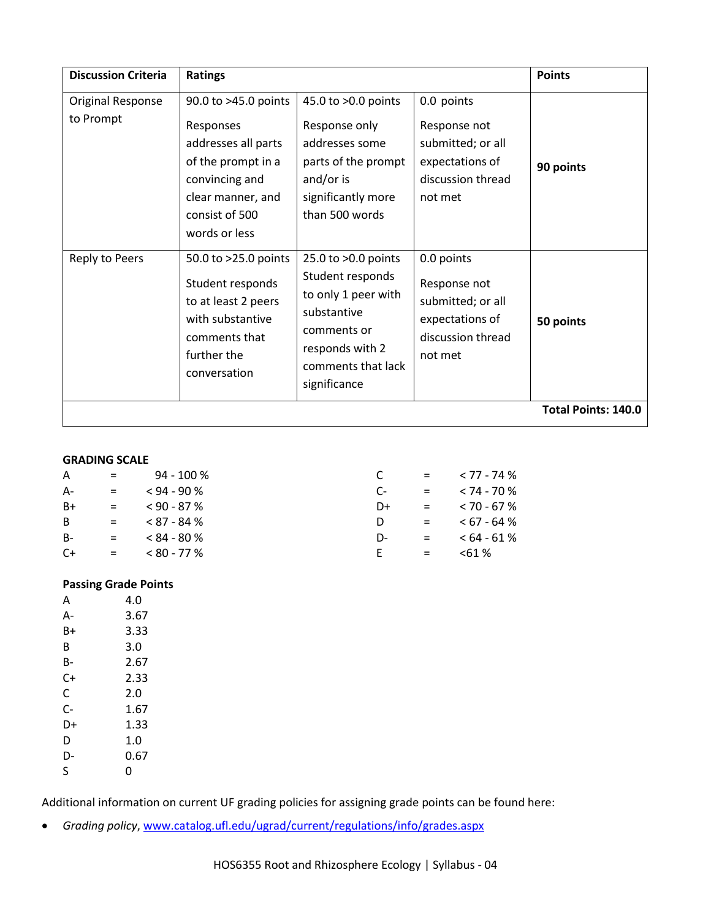| <b>Discussion Criteria</b>     | <b>Ratings</b>                                                                                                                                           |                                                                                                                                                       |                                                                                                    | <b>Points</b>              |
|--------------------------------|----------------------------------------------------------------------------------------------------------------------------------------------------------|-------------------------------------------------------------------------------------------------------------------------------------------------------|----------------------------------------------------------------------------------------------------|----------------------------|
| Original Response<br>to Prompt | 90.0 to >45.0 points<br>Responses<br>addresses all parts<br>of the prompt in a<br>convincing and<br>clear manner, and<br>consist of 500<br>words or less | 45.0 to >0.0 points<br>Response only<br>addresses some<br>parts of the prompt<br>and/or is<br>significantly more<br>than 500 words                    | 0.0 points<br>Response not<br>submitted; or all<br>expectations of<br>discussion thread<br>not met | 90 points                  |
| Reply to Peers                 | 50.0 to >25.0 points<br>Student responds<br>to at least 2 peers<br>with substantive<br>comments that<br>further the<br>conversation                      | 25.0 to >0.0 points<br>Student responds<br>to only 1 peer with<br>substantive<br>comments or<br>responds with 2<br>comments that lack<br>significance | 0.0 points<br>Response not<br>submitted; or all<br>expectations of<br>discussion thread<br>not met | 50 points                  |
|                                |                                                                                                                                                          |                                                                                                                                                       |                                                                                                    | <b>Total Points: 140.0</b> |

#### **GRADING SCALE**

| A     | $=$                       | 94 - 100 %    |    | $=$                       | $<$ 77 - 74 $\%$ |
|-------|---------------------------|---------------|----|---------------------------|------------------|
| $A-$  | $=$                       | $< 94 - 90$ % | C- | $\mathbf{r} = \mathbf{r}$ | $< 74 - 70 \%$   |
| $B+$  | $=$                       | $< 90 - 87 %$ | D+ | $\mathbf{r} = \mathbf{r}$ | $< 70 - 67 \%$   |
| B.    | $=$                       | $< 87 - 84 %$ | D  | $=$                       | $< 67 - 64 %$    |
| $B -$ | $=$                       | $< 84 - 80 %$ | D- | $=$                       | $<64 - 61\%$     |
| $C+$  | $\mathbf{r} = \mathbf{r}$ | $< 80 - 77\%$ | F. | $=$                       | $< 61 \%$        |

# **Passing Grade Points**

| A  | 4.0  |
|----|------|
| А- | 3.67 |
| B+ | 3.33 |
| B  | 3.0  |
| B- | 2.67 |
| C+ | 2.33 |
| C  | 2.0  |
| C- | 1.67 |
| D+ | 1.33 |
| D  | 1.0  |
| D- | 0.67 |
| S  | O    |

Additional information on current UF grading policies for assigning grade points can be found here:

• *Grading policy*, [www.catalog.ufl.edu/ugrad/current/regulations/info/grades.aspx](http://www.catalog.ufl.edu/ugrad/current/regulations/info/grades.aspx)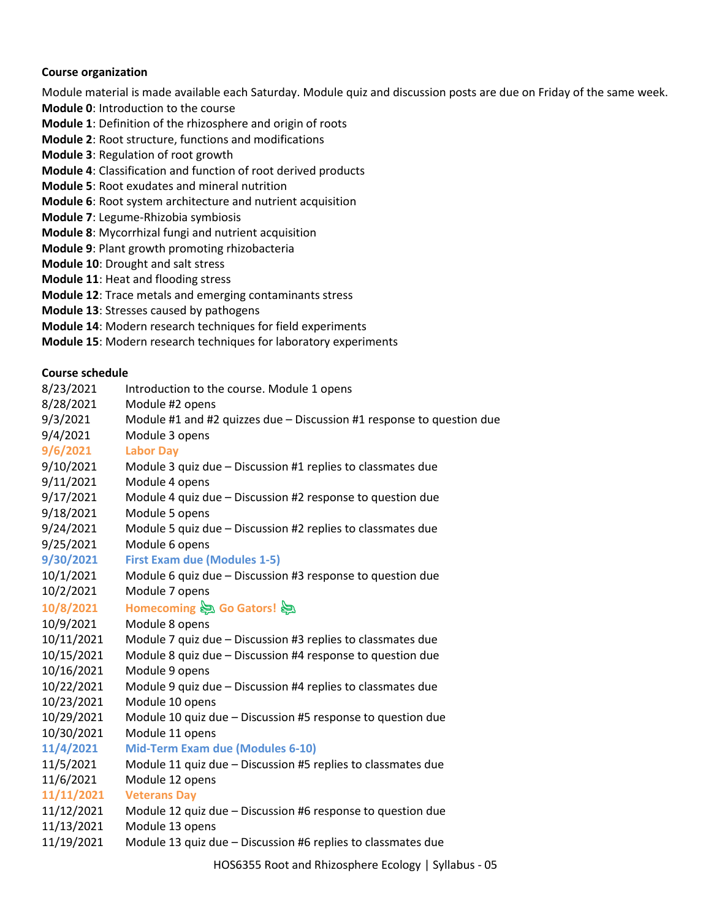#### **Course organization**

Module material is made available each Saturday. Module quiz and discussion posts are due on Friday of the same week.

- **Module 0**: Introduction to the course
- **Module 1**: Definition of the rhizosphere and origin of roots
- **Module 2**: Root structure, functions and modifications
- **Module 3**: Regulation of root growth
- **Module 4**: Classification and function of root derived products
- **Module 5**: Root exudates and mineral nutrition
- **Module 6**: Root system architecture and nutrient acquisition
- **Module 7**: Legume-Rhizobia symbiosis
- **Module 8**: Mycorrhizal fungi and nutrient acquisition
- **Module 9**: Plant growth promoting rhizobacteria
- **Module 10**: Drought and salt stress
- **Module 11**: Heat and flooding stress
- **Module 12**: Trace metals and emerging contaminants stress
- **Module 13**: Stresses caused by pathogens
- **Module 14**: Modern research techniques for field experiments
- **Module 15**: Modern research techniques for laboratory experiments

# **Course schedule**

| 8/23/2021  | Introduction to the course. Module 1 opens                            |
|------------|-----------------------------------------------------------------------|
| 8/28/2021  | Module #2 opens                                                       |
| 9/3/2021   | Module #1 and #2 quizzes due - Discussion #1 response to question due |
| 9/4/2021   | Module 3 opens                                                        |
| 9/6/2021   | <b>Labor Day</b>                                                      |
| 9/10/2021  | Module 3 quiz due - Discussion #1 replies to classmates due           |
| 9/11/2021  | Module 4 opens                                                        |
| 9/17/2021  | Module 4 quiz due - Discussion #2 response to question due            |
| 9/18/2021  | Module 5 opens                                                        |
| 9/24/2021  | Module 5 quiz due - Discussion #2 replies to classmates due           |
| 9/25/2021  | Module 6 opens                                                        |
| 9/30/2021  | <b>First Exam due (Modules 1-5)</b>                                   |
| 10/1/2021  | Module 6 quiz due - Discussion #3 response to question due            |
| 10/2/2021  | Module 7 opens                                                        |
| 10/8/2021  | Homecoming <a> Go Gators!</a>                                         |
| 10/9/2021  | Module 8 opens                                                        |
| 10/11/2021 | Module 7 quiz due - Discussion #3 replies to classmates due           |
| 10/15/2021 | Module 8 quiz due - Discussion #4 response to question due            |
| 10/16/2021 | Module 9 opens                                                        |
| 10/22/2021 | Module 9 quiz due - Discussion #4 replies to classmates due           |
| 10/23/2021 | Module 10 opens                                                       |
| 10/29/2021 | Module 10 quiz due - Discussion #5 response to question due           |
| 10/30/2021 | Module 11 opens                                                       |
| 11/4/2021  | <b>Mid-Term Exam due (Modules 6-10)</b>                               |
| 11/5/2021  | Module 11 quiz due - Discussion #5 replies to classmates due          |
| 11/6/2021  | Module 12 opens                                                       |
| 11/11/2021 | <b>Veterans Day</b>                                                   |
| 11/12/2021 | Module 12 quiz due - Discussion #6 response to question due           |
| 11/13/2021 | Module 13 opens                                                       |
| 11/19/2021 | Module 13 quiz due - Discussion #6 replies to classmates due          |
|            |                                                                       |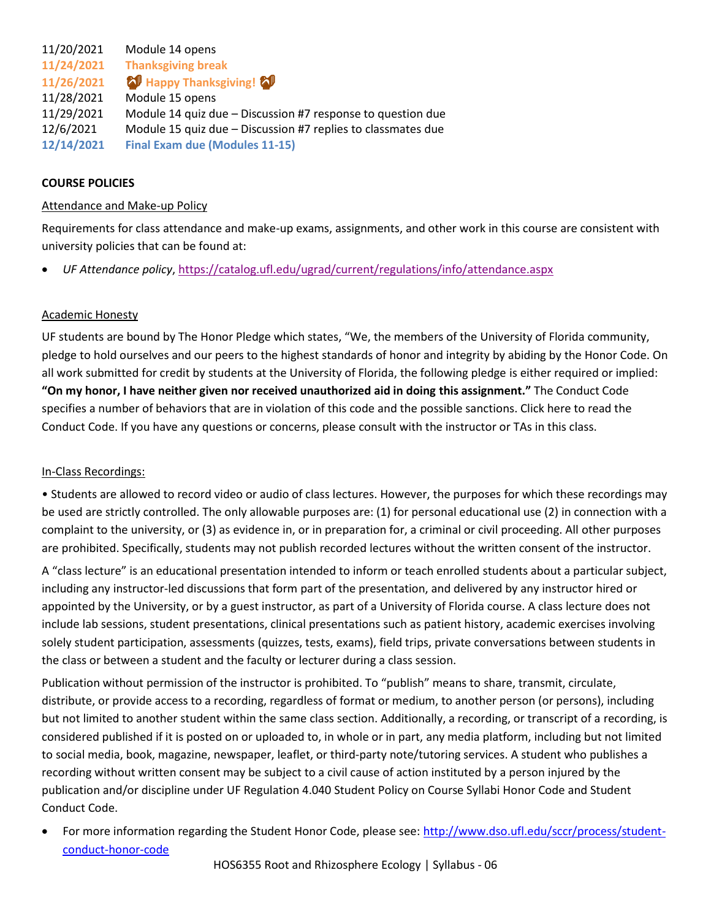11/20/2021 Module 14 opens **11/24/2021 Thanksgiving break 11/26/2021 Happy Thanksgiving!** 11/28/2021 Module 15 opens 11/29/2021 Module 14 quiz due – Discussion #7 response to question due 12/6/2021 Module 15 quiz due – Discussion #7 replies to classmates due **12/14/2021 Final Exam due (Modules 11-15)**

## **COURSE POLICIES**

#### Attendance and Make-up Policy

Requirements for class attendance and make-up exams, assignments, and other work in this course are consistent with university policies that can be found at:

• *UF Attendance policy*[, https://catalog.ufl.edu/ugrad/current/regulations/info/attendance.aspx](https://catalog.ufl.edu/ugrad/current/regulations/info/attendance.aspx)

#### Academic Honesty

UF students are bound by The Honor Pledge which states, "We, the members of the University of Florida community, pledge to hold ourselves and our peers to the highest standards of honor and integrity by abiding by the Honor Code. On all work submitted for credit by students at the University of Florida, the following pledge is either required or implied: **"On my honor, I have neither given nor received unauthorized aid in doing this assignment."** The Conduct Code specifies a number of behaviors that are in violation of this code and the possible sanctions. Click here to read the Conduct Code. If you have any questions or concerns, please consult with the instructor or TAs in this class.

#### In-Class Recordings:

• Students are allowed to record video or audio of class lectures. However, the purposes for which these recordings may be used are strictly controlled. The only allowable purposes are: (1) for personal educational use (2) in connection with a complaint to the university, or (3) as evidence in, or in preparation for, a criminal or civil proceeding. All other purposes are prohibited. Specifically, students may not publish recorded lectures without the written consent of the instructor.

A "class lecture" is an educational presentation intended to inform or teach enrolled students about a particular subject, including any instructor-led discussions that form part of the presentation, and delivered by any instructor hired or appointed by the University, or by a guest instructor, as part of a University of Florida course. A class lecture does not include lab sessions, student presentations, clinical presentations such as patient history, academic exercises involving solely student participation, assessments (quizzes, tests, exams), field trips, private conversations between students in the class or between a student and the faculty or lecturer during a class session.

Publication without permission of the instructor is prohibited. To "publish" means to share, transmit, circulate, distribute, or provide access to a recording, regardless of format or medium, to another person (or persons), including but not limited to another student within the same class section. Additionally, a recording, or transcript of a recording, is considered published if it is posted on or uploaded to, in whole or in part, any media platform, including but not limited to social media, book, magazine, newspaper, leaflet, or third-party note/tutoring services. A student who publishes a recording without written consent may be subject to a civil cause of action instituted by a person injured by the publication and/or discipline under UF Regulation 4.040 Student Policy on Course Syllabi Honor Code and Student Conduct Code.

For more information regarding the Student Honor Code, please see: [http://www.dso.ufl.edu/sccr/process/student](http://www.dso.ufl.edu/sccr/process/student-conduct-honor-code)[conduct-honor-code](http://www.dso.ufl.edu/sccr/process/student-conduct-honor-code)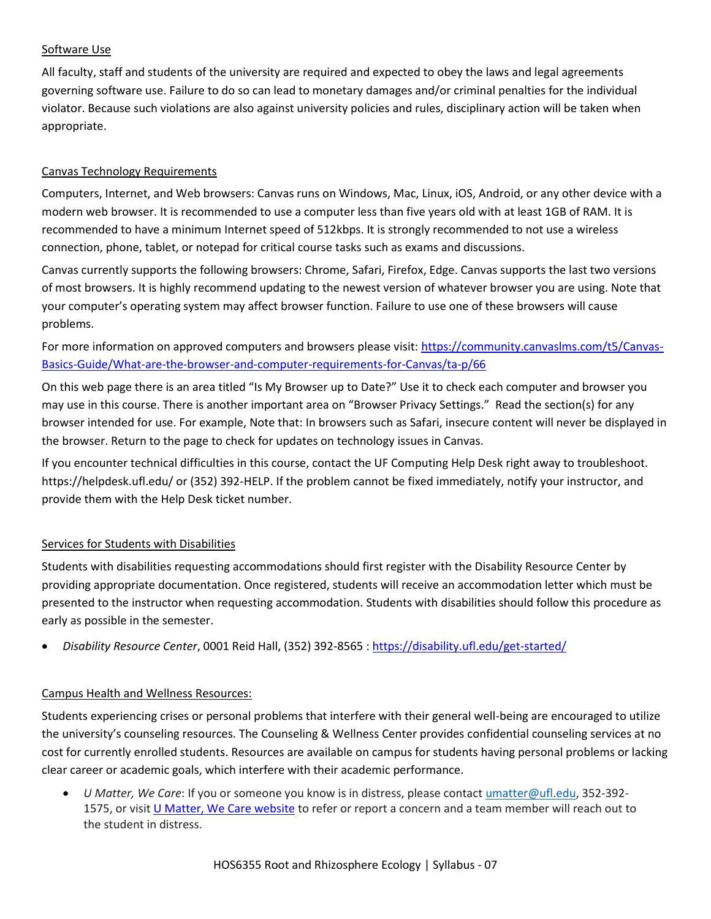# Software Use

All faculty, staff and students of the university are required and expected to obey the laws and legal agreements governing software use. Failure to do so can lead to monetary damages and/or criminal penalties for the individual violator. Because such violations are also against university policies and rules, disciplinary action will be taken when appropriate.

# Canvas Technology Requirements

Computers, Internet, and Web browsers: Canvas runs on Windows, Mac, Linux, iOS, Android, or any other device with a modern web browser. It is recommended to use a computer less than five years old with at least 1GB of RAM. It is recommended to have a minimum Internet speed of 512kbps. It is strongly recommended to not use a wireless connection, phone, tablet, or notepad for critical course tasks such as exams and discussions.

Canvas currently supports the following browsers: Chrome, Safari, Firefox, Edge. Canvas supports the last two versions of most browsers. It is highly recommend updating to the newest version of whatever browser you are using. Note that your computer's operating system may affect browser function. Failure to use one of these browsers will cause problems.

For more information on approved computers and browsers please visit[: https://community.canvaslms.com/t5/Canvas-](https://community.canvaslms.com/t5/Canvas-Basics-Guide/What-are-the-browser-and-computer-requirements-for-Canvas/ta-p/66)[Basics-Guide/What-are-the-browser-and-computer-requirements-for-Canvas/ta-p/66](https://community.canvaslms.com/t5/Canvas-Basics-Guide/What-are-the-browser-and-computer-requirements-for-Canvas/ta-p/66)

On this web page there is an area titled "Is My Browser up to Date?" Use it to check each computer and browser you may use in this course. There is another important area on "Browser Privacy Settings." Read the section(s) for any browser intended for use. For example, Note that: In browsers such as Safari, insecure content will never be displayed in the browser. Return to the page to check for updates on technology issues in Canvas.

If you encounter technical difficulties in this course, contact the UF Computing Help Desk right away to troubleshoot. https://helpdesk.ufl.edu/ or (352) 392-HELP. If the problem cannot be fixed immediately, notify your instructor, and provide them with the Help Desk ticket number.

# Services for Students with Disabilities

Students with disabilities requesting accommodations should first register with the Disability Resource Center by providing appropriate documentation. Once registered, students will receive an accommodation letter which must be presented to the instructor when requesting accommodation. Students with disabilities should follow this procedure as early as possible in the semester.

• *Disability Resource Center*, 0001 Reid Hall, (352) 392-8565 [: https://disability.ufl.edu/get-started/](https://disability.ufl.edu/get-started/)

# Campus Health and Wellness Resources:

Students experiencing crises or personal problems that interfere with their general well-being are encouraged to utilize the university's counseling resources. The Counseling & Wellness Center provides confidential counseling services at no cost for currently enrolled students. Resources are available on campus for students having personal problems or lacking clear career or academic goals, which interfere with their academic performance.

• *U Matter, We Care*: If you or someone you know is in distress, please contact [umatter@ufl.edu, 3](mailto:umatter@ufl.edu)52-392- 1575, or visit [U Matter, We Care website](https://umatter.ufl.edu/) to refer or report a concern and a team member will reach out to the student in distress.